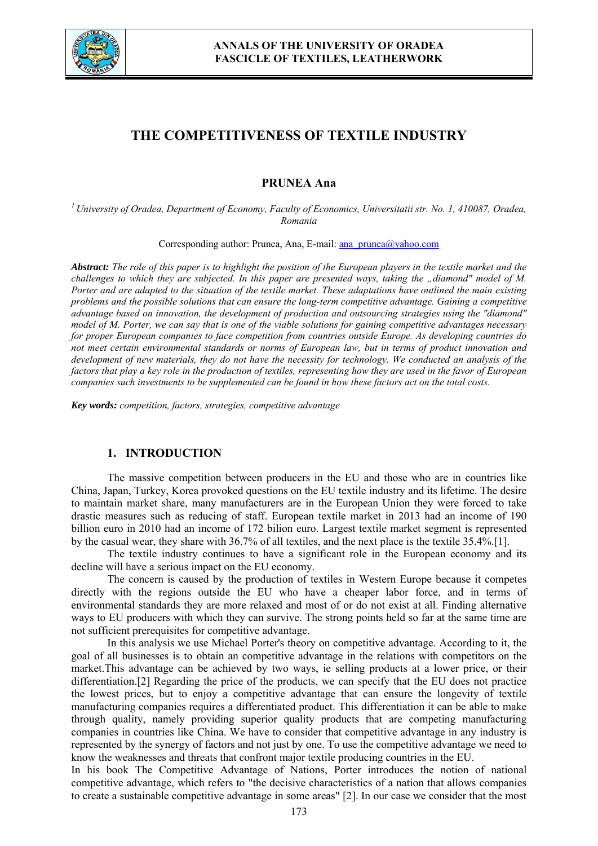

# **THE COMPETITIVENESS OF TEXTILE INDUSTRY**

# **PRUNEA Ana**

*1 University of Oradea, Department of Economy, Faculty of Economics, Universitatii str. No. 1, 410087, Oradea, Romania* 

Corresponding author: Prunea, Ana, E-mail: ana\_prunea@yahoo.com

*Abstract: The role of this paper is to highlight the position of the European players in the textile market and the challenges to which they are subjected. In this paper are presented ways, taking the "diamond" model of M. Porter and are adapted to the situation of the textile market. These adaptations have outlined the main existing problems and the possible solutions that can ensure the long-term competitive advantage. Gaining a competitive advantage based on innovation, the development of production and outsourcing strategies using the "diamond" model of M. Porter, we can say that is one of the viable solutions for gaining competitive advantages necessary for proper European companies to face competition from countries outside Europe. As developing countries do not meet certain environmental standards or norms of European law, but in terms of product innovation and development of new materials, they do not have the necessity for technology. We conducted an analysis of the factors that play a key role in the production of textiles, representing how they are used in the favor of European companies such investments to be supplemented can be found in how these factors act on the total costs.* 

*Key words: competition, factors, strategies, competitive advantage* 

#### **1. INTRODUCTION**

 The massive competition between producers in the EU and those who are in countries like China, Japan, Turkey, Korea provoked questions on the EU textile industry and its lifetime. The desire to maintain market share, many manufacturers are in the European Union they were forced to take drastic measures such as reducing of staff. European textile market in 2013 had an income of 190 billion euro in 2010 had an income of 172 bilion euro. Largest textile market segment is represented by the casual wear, they share with 36.7% of all textiles, and the next place is the textile 35.4%.[1].

 The textile industry continues to have a significant role in the European economy and its decline will have a serious impact on the EU economy.

The concern is caused by the production of textiles in Western Europe because it competes directly with the regions outside the EU who have a cheaper labor force, and in terms of environmental standards they are more relaxed and most of or do not exist at all. Finding alternative ways to EU producers with which they can survive. The strong points held so far at the same time are not sufficient prerequisites for competitive advantage.

In this analysis we use Michael Porter's theory on competitive advantage. According to it, the goal of all businesses is to obtain an competitive advantage in the relations with competitors on the market.This advantage can be achieved by two ways, ie selling products at a lower price, or their differentiation.<sup>[2]</sup> Regarding the price of the products, we can specify that the EU does not practice the lowest prices, but to enjoy a competitive advantage that can ensure the longevity of textile manufacturing companies requires a differentiated product. This differentiation it can be able to make through quality, namely providing superior quality products that are competing manufacturing companies in countries like China. We have to consider that competitive advantage in any industry is represented by the synergy of factors and not just by one. To use the competitive advantage we need to know the weaknesses and threats that confront major textile producing countries in the EU.

In his book The Competitive Advantage of Nations, Porter introduces the notion of national competitive advantage, which refers to "the decisive characteristics of a nation that allows companies to create a sustainable competitive advantage in some areas" [2]. In our case we consider that the most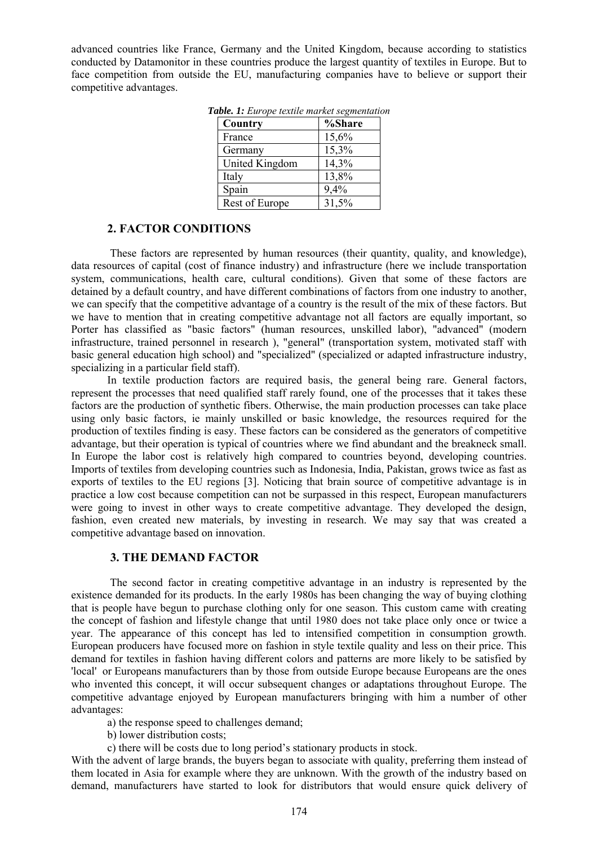advanced countries like France, Germany and the United Kingdom, because according to statistics conducted by Datamonitor in these countries produce the largest quantity of textiles in Europe. But to face competition from outside the EU, manufacturing companies have to believe or support their competitive advantages.

| Country        | %Share |
|----------------|--------|
| France         | 15,6%  |
| Germany        | 15,3%  |
| United Kingdom | 14,3%  |
| Italy          | 13,8%  |
| Spain          | 9,4%   |
| Rest of Europe | 31,5%  |

*Table. 1: Europe textile market segmentation*

#### **2. FACTOR CONDITIONS**

 These factors are represented by human resources (their quantity, quality, and knowledge), data resources of capital (cost of finance industry) and infrastructure (here we include transportation system, communications, health care, cultural conditions). Given that some of these factors are detained by a default country, and have different combinations of factors from one industry to another, we can specify that the competitive advantage of a country is the result of the mix of these factors. But we have to mention that in creating competitive advantage not all factors are equally important, so Porter has classified as "basic factors" (human resources, unskilled labor), "advanced" (modern infrastructure, trained personnel in research ), "general" (transportation system, motivated staff with basic general education high school) and "specialized" (specialized or adapted infrastructure industry, specializing in a particular field staff).

In textile production factors are required basis, the general being rare. General factors, represent the processes that need qualified staff rarely found, one of the processes that it takes these factors are the production of synthetic fibers. Otherwise, the main production processes can take place using only basic factors, ie mainly unskilled or basic knowledge, the resources required for the production of textiles finding is easy. These factors can be considered as the generators of competitive advantage, but their operation is typical of countries where we find abundant and the breakneck small. In Europe the labor cost is relatively high compared to countries beyond, developing countries. Imports of textiles from developing countries such as Indonesia, India, Pakistan, grows twice as fast as exports of textiles to the EU regions [3]. Noticing that brain source of competitive advantage is in practice a low cost because competition can not be surpassed in this respect, European manufacturers were going to invest in other ways to create competitive advantage. They developed the design, fashion, even created new materials, by investing in research. We may say that was created a competitive advantage based on innovation.

#### **3. THE DEMAND FACTOR**

 The second factor in creating competitive advantage in an industry is represented by the existence demanded for its products. In the early 1980s has been changing the way of buying clothing that is people have begun to purchase clothing only for one season. This custom came with creating the concept of fashion and lifestyle change that until 1980 does not take place only once or twice a year. The appearance of this concept has led to intensified competition in consumption growth. European producers have focused more on fashion in style textile quality and less on their price. This demand for textiles in fashion having different colors and patterns are more likely to be satisfied by 'local' or Europeans manufacturers than by those from outside Europe because Europeans are the ones who invented this concept, it will occur subsequent changes or adaptations throughout Europe. The competitive advantage enjoyed by European manufacturers bringing with him a number of other advantages:

- a) the response speed to challenges demand;
- b) lower distribution costs;
- c) there will be costs due to long period's stationary products in stock.

With the advent of large brands, the buyers began to associate with quality, preferring them instead of them located in Asia for example where they are unknown. With the growth of the industry based on demand, manufacturers have started to look for distributors that would ensure quick delivery of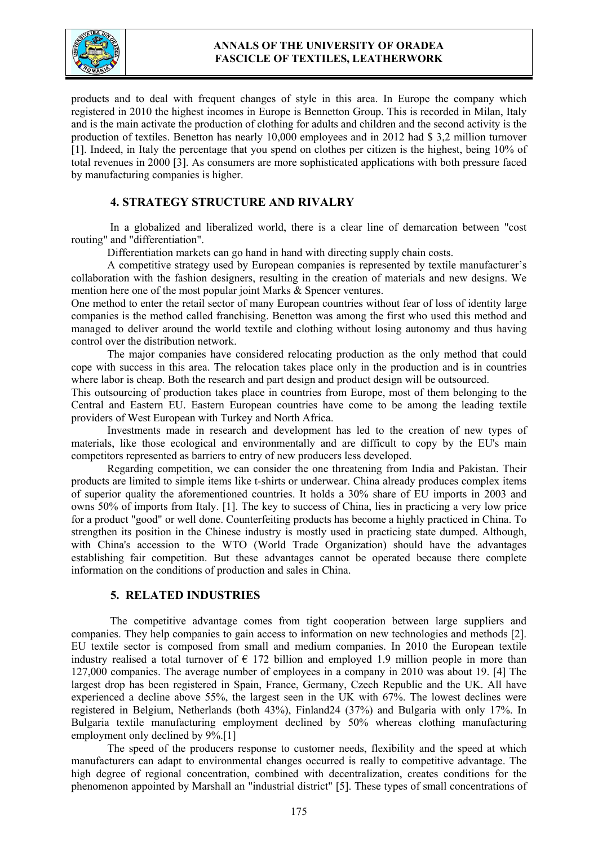

## **ANNALS OF THE UNIVERSITY OF ORADEA FASCICLE OF TEXTILES, LEATHERWORK**

products and to deal with frequent changes of style in this area. In Europe the company which registered in 2010 the highest incomes in Europe is Bennetton Group. This is recorded in Milan, Italy and is the main activate the production of clothing for adults and children and the second activity is the production of textiles. Benetton has nearly 10,000 employees and in 2012 had \$ 3,2 million turnover [1]. Indeed, in Italy the percentage that you spend on clothes per citizen is the highest, being 10% of total revenues in 2000 [3]. As consumers are more sophisticated applications with both pressure faced by manufacturing companies is higher.

# **4. STRATEGY STRUCTURE AND RIVALRY**

 In a globalized and liberalized world, there is a clear line of demarcation between "cost routing" and "differentiation".

Differentiation markets can go hand in hand with directing supply chain costs.

A competitive strategy used by European companies is represented by textile manufacturer's collaboration with the fashion designers, resulting in the creation of materials and new designs. We mention here one of the most popular joint Marks & Spencer ventures.

One method to enter the retail sector of many European countries without fear of loss of identity large companies is the method called franchising. Benetton was among the first who used this method and managed to deliver around the world textile and clothing without losing autonomy and thus having control over the distribution network.

The major companies have considered relocating production as the only method that could cope with success in this area. The relocation takes place only in the production and is in countries where labor is cheap. Both the research and part design and product design will be outsourced.

This outsourcing of production takes place in countries from Europe, most of them belonging to the Central and Eastern EU. Eastern European countries have come to be among the leading textile providers of West European with Turkey and North Africa.

Investments made in research and development has led to the creation of new types of materials, like those ecological and environmentally and are difficult to copy by the EU's main competitors represented as barriers to entry of new producers less developed.

Regarding competition, we can consider the one threatening from India and Pakistan. Their products are limited to simple items like t-shirts or underwear. China already produces complex items of superior quality the aforementioned countries. It holds a 30% share of EU imports in 2003 and owns 50% of imports from Italy. [1]. The key to success of China, lies in practicing a very low price for a product "good" or well done. Counterfeiting products has become a highly practiced in China. To strengthen its position in the Chinese industry is mostly used in practicing state dumped. Although, with China's accession to the WTO (World Trade Organization) should have the advantages establishing fair competition. But these advantages cannot be operated because there complete information on the conditions of production and sales in China.

#### **5. RELATED INDUSTRIES**

 The competitive advantage comes from tight cooperation between large suppliers and companies. They help companies to gain access to information on new technologies and methods [2]. EU textile sector is composed from small and medium companies. In 2010 the European textile industry realised a total turnover of  $\epsilon$  172 billion and employed 1.9 million people in more than 127,000 companies. The average number of employees in a company in 2010 was about 19. [4] The largest drop has been registered in Spain, France, Germany, Czech Republic and the UK. All have experienced a decline above 55%, the largest seen in the UK with 67%. The lowest declines were registered in Belgium, Netherlands (both 43%), Finland24 (37%) and Bulgaria with only 17%. In Bulgaria textile manufacturing employment declined by 50% whereas clothing manufacturing employment only declined by 9%.[1]

The speed of the producers response to customer needs, flexibility and the speed at which manufacturers can adapt to environmental changes occurred is really to competitive advantage. The high degree of regional concentration, combined with decentralization, creates conditions for the phenomenon appointed by Marshall an "industrial district" [5]. These types of small concentrations of